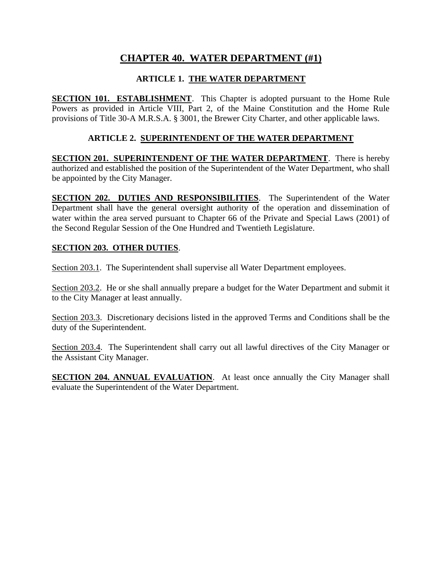# **CHAPTER 40. WATER DEPARTMENT (#1)**

## **ARTICLE 1. THE WATER DEPARTMENT**

**SECTION 101. ESTABLISHMENT**. This Chapter is adopted pursuant to the Home Rule Powers as provided in Article VIII, Part 2, of the Maine Constitution and the Home Rule provisions of Title 30-A M.R.S.A. § 3001, the Brewer City Charter, and other applicable laws.

#### **ARTICLE 2. SUPERINTENDENT OF THE WATER DEPARTMENT**

**SECTION 201. SUPERINTENDENT OF THE WATER DEPARTMENT**. There is hereby authorized and established the position of the Superintendent of the Water Department, who shall be appointed by the City Manager.

**SECTION 202. DUTIES AND RESPONSIBILITIES**. The Superintendent of the Water Department shall have the general oversight authority of the operation and dissemination of water within the area served pursuant to Chapter 66 of the Private and Special Laws (2001) of the Second Regular Session of the One Hundred and Twentieth Legislature.

#### **SECTION 203. OTHER DUTIES**.

Section 203.1. The Superintendent shall supervise all Water Department employees.

Section 203.2. He or she shall annually prepare a budget for the Water Department and submit it to the City Manager at least annually.

Section 203.3. Discretionary decisions listed in the approved Terms and Conditions shall be the duty of the Superintendent.

Section 203.4. The Superintendent shall carry out all lawful directives of the City Manager or the Assistant City Manager.

**SECTION 204. ANNUAL EVALUATION.** At least once annually the City Manager shall evaluate the Superintendent of the Water Department.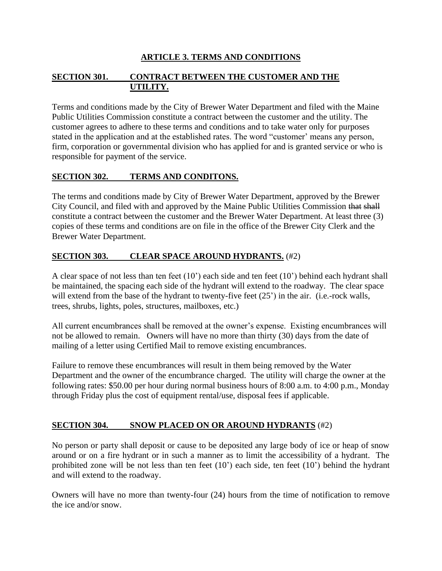### **ARTICLE 3. TERMS AND CONDITIONS**

#### **SECTION 301. CONTRACT BETWEEN THE CUSTOMER AND THE UTILITY.**

Terms and conditions made by the City of Brewer Water Department and filed with the Maine Public Utilities Commission constitute a contract between the customer and the utility. The customer agrees to adhere to these terms and conditions and to take water only for purposes stated in the application and at the established rates. The word "customer' means any person, firm, corporation or governmental division who has applied for and is granted service or who is responsible for payment of the service.

#### **SECTION 302. TERMS AND CONDITONS.**

The terms and conditions made by City of Brewer Water Department, approved by the Brewer City Council, and filed with and approved by the Maine Public Utilities Commission that shall constitute a contract between the customer and the Brewer Water Department. At least three (3) copies of these terms and conditions are on file in the office of the Brewer City Clerk and the Brewer Water Department.

#### **SECTION 303. CLEAR SPACE AROUND HYDRANTS.** (#2)

A clear space of not less than ten feet (10') each side and ten feet (10') behind each hydrant shall be maintained, the spacing each side of the hydrant will extend to the roadway. The clear space will extend from the base of the hydrant to twenty-five feet  $(25')$  in the air. (i.e.-rock walls, trees, shrubs, lights, poles, structures, mailboxes, etc.)

All current encumbrances shall be removed at the owner's expense. Existing encumbrances will not be allowed to remain. Owners will have no more than thirty (30) days from the date of mailing of a letter using Certified Mail to remove existing encumbrances.

Failure to remove these encumbrances will result in them being removed by the Water Department and the owner of the encumbrance charged. The utility will charge the owner at the following rates: \$50.00 per hour during normal business hours of 8:00 a.m. to 4:00 p.m., Monday through Friday plus the cost of equipment rental/use, disposal fees if applicable.

#### **SECTION 304. SNOW PLACED ON OR AROUND HYDRANTS** (#2)

No person or party shall deposit or cause to be deposited any large body of ice or heap of snow around or on a fire hydrant or in such a manner as to limit the accessibility of a hydrant. The prohibited zone will be not less than ten feet (10') each side, ten feet (10') behind the hydrant and will extend to the roadway.

Owners will have no more than twenty-four (24) hours from the time of notification to remove the ice and/or snow.